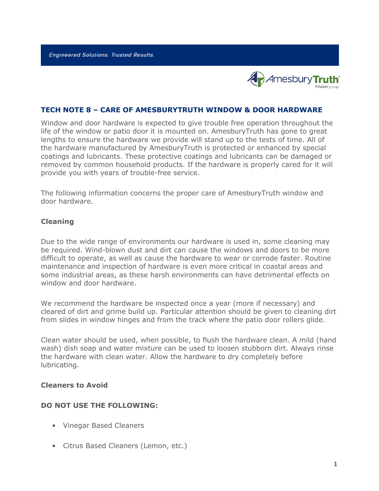**Engineered Solutions. Trusted Results.** 



## **TECH NOTE 8 – CARE OF AMESBURYTRUTH WINDOW & DOOR HARDWARE**

Window and door hardware is expected to give trouble free operation throughout the life of the window or patio door it is mounted on. AmesburyTruth has gone to great lengths to ensure the hardware we provide will stand up to the tests of time. All of the hardware manufactured by AmesburyTruth is protected or enhanced by special coatings and lubricants. These protective coatings and lubricants can be damaged or removed by common household products. If the hardware is properly cared for it will provide you with years of trouble-free service.

The following information concerns the proper care of AmesburyTruth window and door hardware.

### **Cleaning**

Due to the wide range of environments our hardware is used in, some cleaning may be required. Wind-blown dust and dirt can cause the windows and doors to be more difficult to operate, as well as cause the hardware to wear or corrode faster. Routine maintenance and inspection of hardware is even more critical in coastal areas and some industrial areas, as these harsh environments can have detrimental effects on window and door hardware.

We recommend the hardware be inspected once a year (more if necessary) and cleared of dirt and grime build up. Particular attention should be given to cleaning dirt from slides in window hinges and from the track where the patio door rollers glide.

Clean water should be used, when possible, to flush the hardware clean. A mild (hand wash) dish soap and water mixture can be used to loosen stubborn dirt. Always rinse the hardware with clean water. Allow the hardware to dry completely before lubricating.

#### **Cleaners to Avoid**

#### **DO NOT USE THE FOLLOWING:**

- Vinegar Based Cleaners
- Citrus Based Cleaners (Lemon, etc.)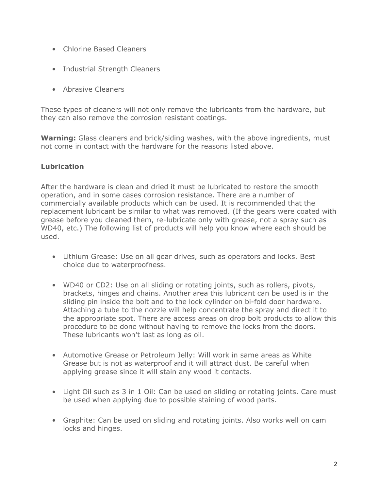- Chlorine Based Cleaners
- Industrial Strength Cleaners
- Abrasive Cleaners

These types of cleaners will not only remove the lubricants from the hardware, but they can also remove the corrosion resistant coatings.

**Warning:** Glass cleaners and brick/siding washes, with the above ingredients, must not come in contact with the hardware for the reasons listed above.

# **Lubrication**

After the hardware is clean and dried it must be lubricated to restore the smooth operation, and in some cases corrosion resistance. There are a number of commercially available products which can be used. It is recommended that the replacement lubricant be similar to what was removed. (If the gears were coated with grease before you cleaned them, re-lubricate only with grease, not a spray such as WD40, etc.) The following list of products will help you know where each should be used.

- Lithium Grease: Use on all gear drives, such as operators and locks. Best choice due to waterproofness.
- WD40 or CD2: Use on all sliding or rotating joints, such as rollers, pivots, brackets, hinges and chains. Another area this lubricant can be used is in the sliding pin inside the bolt and to the lock cylinder on bi-fold door hardware. Attaching a tube to the nozzle will help concentrate the spray and direct it to the appropriate spot. There are access areas on drop bolt products to allow this procedure to be done without having to remove the locks from the doors. These lubricants won't last as long as oil.
- Automotive Grease or Petroleum Jelly: Will work in same areas as White Grease but is not as waterproof and it will attract dust. Be careful when applying grease since it will stain any wood it contacts.
- Light Oil such as 3 in 1 Oil: Can be used on sliding or rotating joints. Care must be used when applying due to possible staining of wood parts.
- Graphite: Can be used on sliding and rotating joints. Also works well on cam locks and hinges.